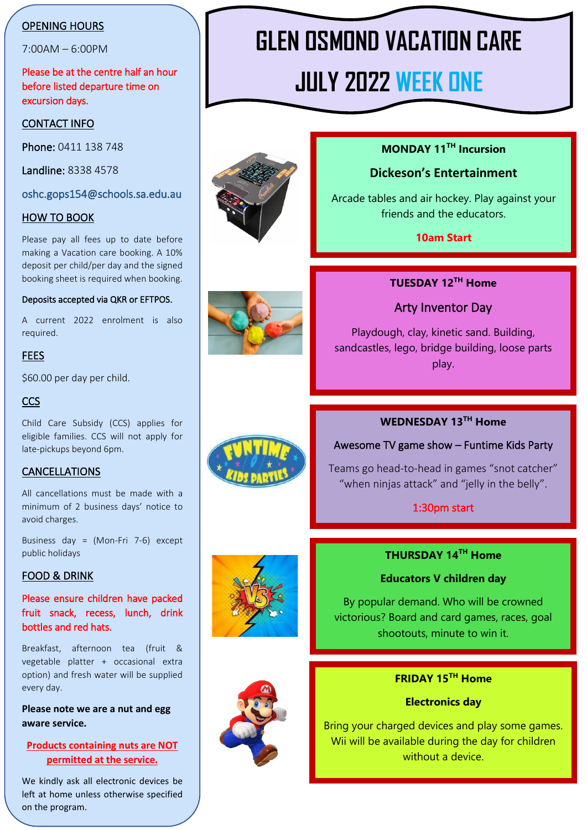## OPENING HOURS

7:00AM – 6:00PM

Please be at the centre half an hour before listed departure time on excursion days.

## CONTACT INFO

Phone: 0411 138 748

Landline: 8338 4578

oshc.gops154@schools.sa.edu.au

### HOW TO BOOK

Please pay all fees up to date before making a Vacation care booking. A 10% deposit per child/per day and the signed booking sheet is required when booking.

#### Deposits accepted via QKR or EFTPOS.

A current 2022 enrolment is also required.

### **FEES**

\$60.00 per day per child.

### **CCS**

Child Care Subsidy (CCS) applies for eligible families. CCS will not apply for late-pickups beyond 6pm.

## CANCELLATIONS

All cancellations must be made with a minimum of 2 business days' notice to avoid charges.

Business day = (Mon-Fri 7-6) except public holidays

## FOOD & DRINK

Please ensure children have packed fruit snack, recess, lunch, drink bottles and red hats.

Breakfast, afternoon tea (fruit & vegetable platter + occasional extra option) and fresh water will be supplied every day.

**Please note we are a nut and egg aware service.**

## **Products containing nuts are NOT permitted at the service.**

We kindly ask all electronic devices be left at home unless otherwise specified on the program.

# **GLEN OSMOND VACATION CARE JULY 2022 WEEK ONE**



## **MONDAY 11TH Incursion**

## **Dickeson's Entertainment**

Arcade tables and air hockey. Play against your friends and the educators.

**10am Start**



## **TUESDAY 12TH Home**

## Arty Inventor Day

Playdough, clay, kinetic sand. Building, sandcastles, lego, bridge building, loose parts play.

## **WEDNESDAY 13TH Home**

#### Awesome TV game show – Funtime Kids Party

Teams go head-to-head in games "snot catcher" "when ninjas attack" and "jelly in the belly".

#### 1:30pm start

## **THURSDAY 14TH Home**

#### **Educators V children day**

By popular demand. Who will be crowned victorious? Board and card games, races, goal shootouts, minute to win it.



## **FRIDAY 15TH Home**

#### **Electronics day**

Bring your charged devices and play some games. Wii will be available during the day for children without a device.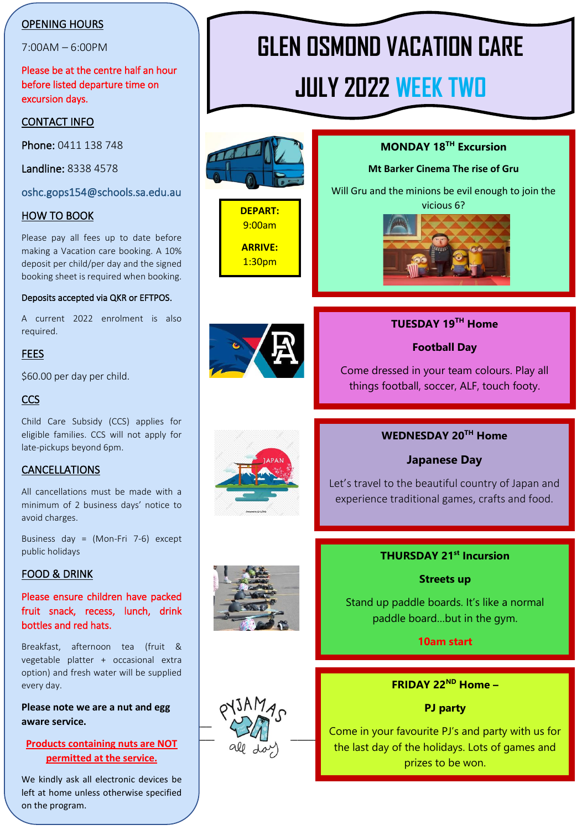## OPENING HOURS

7:00AM – 6:00PM

Please be at the centre half an hour before listed departure time on excursion days.

### CONTACT INFO

Phone: 0411 138 748

Landline: 8338 4578

oshc.gops154@schools.sa.edu.au

### HOW TO BOOK

Please pay all fees up to date before making a Vacation care booking. A 10% deposit per child/per day and the signed booking sheet is required when booking.

### Deposits accepted via QKR or EFTPOS.

A current 2022 enrolment is also required.

#### **FEES**

\$60.00 per day per child.

## **CCS**

Child Care Subsidy (CCS) applies for eligible families. CCS will not apply for late-pickups beyond 6pm.

## CANCELLATIONS

All cancellations must be made with a minimum of 2 business days' notice to avoid charges.

Business day = (Mon-Fri 7-6) except public holidays

#### FOOD & DRINK

Please ensure children have packed fruit snack, recess, lunch, drink bottles and red hats.

Breakfast, afternoon tea (fruit & vegetable platter + occasional extra option) and fresh water will be supplied every day.

Today's Date \_\_\_\_\_\_\_\_\_\_\_\_\_\_\_ **Please note we are a nut and egg aware service.**

## **Products containing nuts are NOT permitted at the service.**

We kindly ask all electronic devices be left at home unless otherwise specified on the program.

# **GLEN OSMOND VACATION CARE**

# **JULY 2022 WEEK TWO**



**DEPART:** 9:00am **ARRIVE:** 1:30pm





## **TUESDAY 19TH Home**

**MONDAY 18TH Excursion**

**Mt Barker Cinema The rise of Gru**

**Football Day**

Come dressed in your team colours. Play all things football, soccer, ALF, touch footy.



## **WEDNESDAY 20TH Home**

## **Japanese Day**

Let's travel to the beautiful country of Japan and experience traditional games, crafts and food.



## **THURSDAY 21st Incursion**

**Streets up**

Stand up paddle boards. It's like a normal paddle board…but in the gym.

**10am start**



**FRIDAY 22ND Home –**

**PJ party**

Come in your favourite PJ's and party with us for the last day of the holidays. Lots of games and prizes to be won.